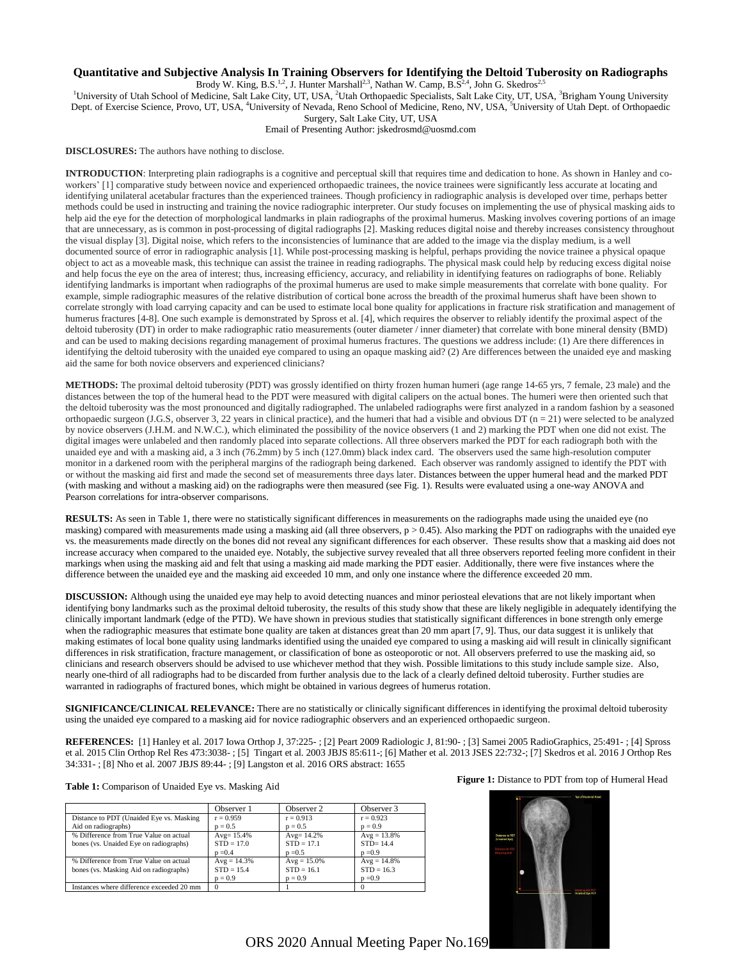## **Quantitative and Subjective Analysis In Training Observers for Identifying the Deltoid Tuberosity on Radiographs**

Brody W. King, B.S.<sup>1,2</sup>, J. Hunter Marshall<sup>2,3</sup>, Nathan W. Camp, B.S<sup>2,4</sup>, John G. Skedros<sup>2,5</sup>

<sup>1</sup>University of Utah School of Medicine, Salt Lake City, UT, USA, <sup>2</sup>Utah Orthopaedic Specialists, Salt Lake City, UT, USA, <sup>3</sup>Brigham Young University Dept. of Exercise Science, Provo, UT, USA, <sup>4</sup>University of Nevada, Reno School of Medicine, Reno, NV, USA, <sup>5</sup>University of Utah Dept. of Orthopaedic Surgery, Salt Lake City, UT, USA

Email of Presenting Author: jskedrosmd@uosmd.com

**DISCLOSURES:** The authors have nothing to disclose.

**INTRODUCTION**: Interpreting plain radiographs is a cognitive and perceptual skill that requires time and dedication to hone. As shown in Hanley and coworkers' [1] comparative study between novice and experienced orthopaedic trainees, the novice trainees were significantly less accurate at locating and identifying unilateral acetabular fractures than the experienced trainees. Though proficiency in radiographic analysis is developed over time, perhaps better methods could be used in instructing and training the novice radiographic interpreter. Our study focuses on implementing the use of physical masking aids to help aid the eye for the detection of morphological landmarks in plain radiographs of the proximal humerus. Masking involves covering portions of an image that are unnecessary, as is common in post-processing of digital radiographs [2]. Masking reduces digital noise and thereby increases consistency throughout the visual display [3]. Digital noise, which refers to the inconsistencies of luminance that are added to the image via the display medium, is a well documented source of error in radiographic analysis [1]. While post-processing masking is helpful, perhaps providing the novice trainee a physical opaque object to act as a moveable mask, this technique can assist the trainee in reading radiographs. The physical mask could help by reducing excess digital noise and help focus the eye on the area of interest; thus, increasing efficiency, accuracy, and reliability in identifying features on radiographs of bone. Reliably identifying landmarks is important when radiographs of the proximal humerus are used to make simple measurements that correlate with bone quality. For example, simple radiographic measures of the relative distribution of cortical bone across the breadth of the proximal humerus shaft have been shown to correlate strongly with load carrying capacity and can be used to estimate local bone quality for applications in fracture risk stratification and management of humerus fractures [4-8]. One such example is demonstrated by Spross et al. [4], which requires the observer to reliably identify the proximal aspect of the deltoid tuberosity (DT) in order to make radiographic ratio measurements (outer diameter / inner diameter) that correlate with bone mineral density (BMD) and can be used to making decisions regarding management of proximal humerus fractures. The questions we address include: (1) Are there differences in identifying the deltoid tuberosity with the unaided eye compared to using an opaque masking aid? (2) Are differences between the unaided eye and masking aid the same for both novice observers and experienced clinicians?

**METHODS:** The proximal deltoid tuberosity (PDT) was grossly identified on thirty frozen human humeri (age range 14-65 yrs, 7 female, 23 male) and the distances between the top of the humeral head to the PDT were measured with digital calipers on the actual bones. The humeri were then oriented such that the deltoid tuberosity was the most pronounced and digitally radiographed. The unlabeled radiographs were first analyzed in a random fashion by a seasoned orthopaedic surgeon (J.G.S, observer 3, 22 years in clinical practice), and the humeri that had a visible and obvious DT ( $n = 21$ ) were selected to be analyzed by novice observers (J.H.M. and N.W.C.), which eliminated the possibility of the novice observers (1 and 2) marking the PDT when one did not exist. The digital images were unlabeled and then randomly placed into separate collections. All three observers marked the PDT for each radiograph both with the unaided eye and with a masking aid, a 3 inch (76.2mm) by 5 inch (127.0mm) black index card. The observers used the same high-resolution computer monitor in a darkened room with the peripheral margins of the radiograph being darkened. Each observer was randomly assigned to identify the PDT with or without the masking aid first and made the second set of measurements three days later. Distances between the upper humeral head and the marked PDT (with masking and without a masking aid) on the radiographs were then measured (see Fig. 1). Results were evaluated using a one-way ANOVA and Pearson correlations for intra-observer comparisons.

**RESULTS:** As seen in Table 1, there were no statistically significant differences in measurements on the radiographs made using the unaided eye (no masking) compared with measurements made using a masking aid (all three observers,  $p > 0.45$ ). Also marking the PDT on radiographs with the unaided eye vs. the measurements made directly on the bones did not reveal any significant differences for each observer. These results show that a masking aid does not increase accuracy when compared to the unaided eye. Notably, the subjective survey revealed that all three observers reported feeling more confident in their markings when using the masking aid and felt that using a masking aid made marking the PDT easier. Additionally, there were five instances where the difference between the unaided eye and the masking aid exceeded 10 mm, and only one instance where the difference exceeded 20 mm.

**DISCUSSION:** Although using the unaided eye may help to avoid detecting nuances and minor periosteal elevations that are not likely important when identifying bony landmarks such as the proximal deltoid tuberosity, the results of this study show that these are likely negligible in adequately identifying the clinically important landmark (edge of the PTD). We have shown in previous studies that statistically significant differences in bone strength only emerge when the radiographic measures that estimate bone quality are taken at distances great than 20 mm apart [7, 9]. Thus, our data suggest it is unlikely that making estimates of local bone quality using landmarks identified using the unaided eye compared to using a masking aid will result in clinically significant differences in risk stratification, fracture management, or classification of bone as osteoporotic or not. All observers preferred to use the masking aid, so clinicians and research observers should be advised to use whichever method that they wish. Possible limitations to this study include sample size. Also, nearly one-third of all radiographs had to be discarded from further analysis due to the lack of a clearly defined deltoid tuberosity. Further studies are warranted in radiographs of fractured bones, which might be obtained in various degrees of humerus rotation.

**SIGNIFICANCE/CLINICAL RELEVANCE:** There are no statistically or clinically significant differences in identifying the proximal deltoid tuberosity using the unaided eye compared to a masking aid for novice radiographic observers and an experienced orthopaedic surgeon.

**REFERENCES:** [1] Hanley et al. 2017 Iowa Orthop J, 37:225- ; [2] Peart 2009 Radiologic J, 81:90- ; [3] Samei 2005 RadioGraphics, 25:491- ; [4] Spross et al. 2015 Clin Orthop Rel Res 473:3038- ; [5] Tingart et al. 2003 JBJS 85:611-; [6] Mather et al. 2013 JSES 22:732-; [7] Skedros et al. 2016 J Orthop Res 34:331- ; [8] Nho et al. 2007 JBJS 89:44- ; [9] Langston et al. 2016 ORS abstract: 1655

## **Table 1:** Comparison of Unaided Eye vs. Masking Aid

|                                                                                  | Observer 1                                 | Observer 2                                 | Observer 3                                 |
|----------------------------------------------------------------------------------|--------------------------------------------|--------------------------------------------|--------------------------------------------|
| Distance to PDT (Unaided Eye vs. Masking                                         | $r = 0.959$                                | $r = 0.913$                                | $r = 0.923$                                |
| Aid on radiographs)                                                              | $p = 0.5$                                  | $p = 0.5$                                  | $p = 0.9$                                  |
| % Difference from True Value on actual<br>bones (vs. Unaided Eye on radiographs) | Avg= $15.4%$<br>$STD = 17.0$<br>$p = 0.4$  | $Avg = 14.2%$<br>$STD = 17.1$<br>$p = 0.5$ | $Avg = 13.8%$<br>$STD = 14.4$<br>$p = 0.9$ |
| % Difference from True Value on actual<br>bones (vs. Masking Aid on radiographs) | $Avg = 14.3%$<br>$STD = 15.4$<br>$p = 0.9$ | $Avg = 15.0%$<br>$STD = 16.1$<br>$p = 0.9$ | $Avg = 14.8%$<br>$STD = 16.3$<br>$p = 0.9$ |
| Instances where difference exceeded 20 mm                                        |                                            |                                            |                                            |

## **Figure 1:** Distance to PDT from top of Humeral Head